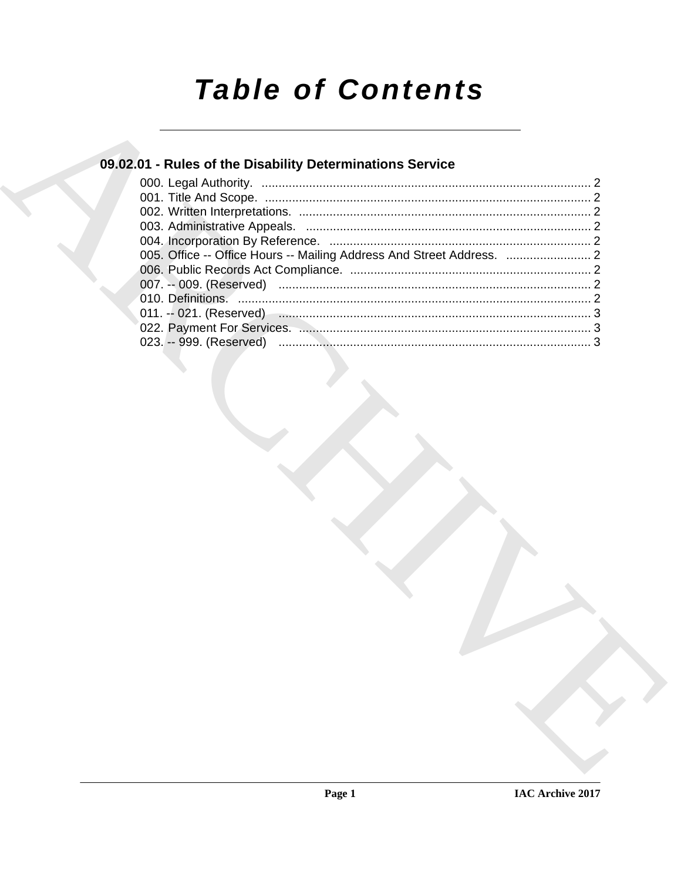# **Table of Contents**

### 09.02.01 - Rules of the Disability Determinations Service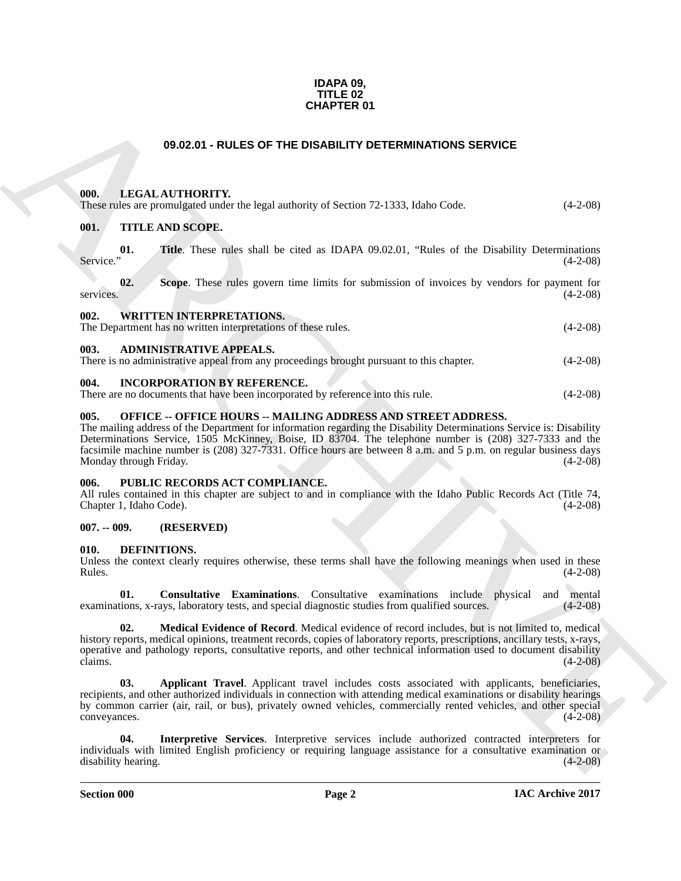#### **IDAPA 09, TITLE 02 CHAPTER 01**

#### **09.02.01 - RULES OF THE DISABILITY DETERMINATIONS SERVICE**

#### <span id="page-1-1"></span><span id="page-1-0"></span>**000. LEGAL AUTHORITY.**

| ------ | ________________                                                                      |            |
|--------|---------------------------------------------------------------------------------------|------------|
|        | These rules are promulgated under the legal authority of Section 72-1333, Idaho Code. | $(4-2-08)$ |

#### <span id="page-1-2"></span>**001. TITLE AND SCOPE.**

|           |  |  |  |  |  |  | <b>Title.</b> These rules shall be cited as IDAPA 09.02.01, "Rules of the Disability Determinations" |
|-----------|--|--|--|--|--|--|------------------------------------------------------------------------------------------------------|
| Service." |  |  |  |  |  |  | $(4-2-08)$                                                                                           |

**02.** Scope. These rules govern time limits for submission of invoices by vendors for payment for  $(4-2-08)$ services. (4-2-08)

<span id="page-1-3"></span>

| 002. | <b>WRITTEN INTERPRETATIONS.</b>                               |            |
|------|---------------------------------------------------------------|------------|
|      | The Department has no written interpretations of these rules. | $(4-2-08)$ |
| 003  | <b>ADMINISTRATIVE APPEALS.</b>                                |            |

<span id="page-1-4"></span>There is no administrative appeal from any proceedings brought pursuant to this chapter. (4-2-08)

#### <span id="page-1-5"></span>**004. INCORPORATION BY REFERENCE.**

There are no documents that have been incorporated by reference into this rule. (4-2-08)

#### <span id="page-1-6"></span>**005. OFFICE -- OFFICE HOURS -- MAILING ADDRESS AND STREET ADDRESS.**

The mailing address of the Department for information regarding the Disability Determinations Service is: Disability Determinations Service, 1505 McKinney, Boise, ID 83704. The telephone number is (208) 327-7333 and the facsimile machine number is (208) 327-7331. Office hours are between 8 a.m. and 5 p.m. on regular business days Monday through Friday. (4-2-08)

#### <span id="page-1-7"></span>**006. PUBLIC RECORDS ACT COMPLIANCE.**

All rules contained in this chapter are subject to and in compliance with the Idaho Public Records Act (Title 74, Chapter 1, Idaho Code). (4-2-08)

#### <span id="page-1-8"></span>**007. -- 009. (RESERVED)**

#### <span id="page-1-9"></span>**010. DEFINITIONS.**

Unless the context clearly requires otherwise, these terms shall have the following meanings when used in these  $Rules.$  (4-2-08)

<span id="page-1-13"></span><span id="page-1-11"></span>**01.** Consultative Examinations. Consultative examinations include physical and mental tions, x-rays, laboratory tests, and special diagnostic studies from qualified sources. (4-2-08) examinations, x-rays, laboratory tests, and special diagnostic studies from qualified sources.

**CHAPTER 01**<br> **CHARCHIVE SOFT THE DISABILITY OFTERWINATIONS SERVICE**<br> **CHARCHIVE SOFT THE DISABILITY OF TERMINATIONS SERVICE**<br> **CHARCHIVE SOFTEN CHARCHIPS** of Section 72.1533, Island Colle. (4.2.05)<br> **CHARCHIVE SOFTEN CHA 02. Medical Evidence of Record**. Medical evidence of record includes, but is not limited to, medical history reports, medical opinions, treatment records, copies of laboratory reports, prescriptions, ancillary tests, x-rays, operative and pathology reports, consultative reports, and other technical information used to document disability claims. (4-2-08) claims.  $(4-2-08)$ 

<span id="page-1-10"></span>**03. Applicant Travel**. Applicant travel includes costs associated with applicants, beneficiaries, recipients, and other authorized individuals in connection with attending medical examinations or disability hearings by common carrier (air, rail, or bus), privately owned vehicles, commercially rented vehicles, and other special convevances. (4-2-08) conveyances.

<span id="page-1-12"></span>**04. Interpretive Services**. Interpretive services include authorized contracted interpreters for individuals with limited English proficiency or requiring language assistance for a consultative examination or disability hearing.

**Section 000 Page 2**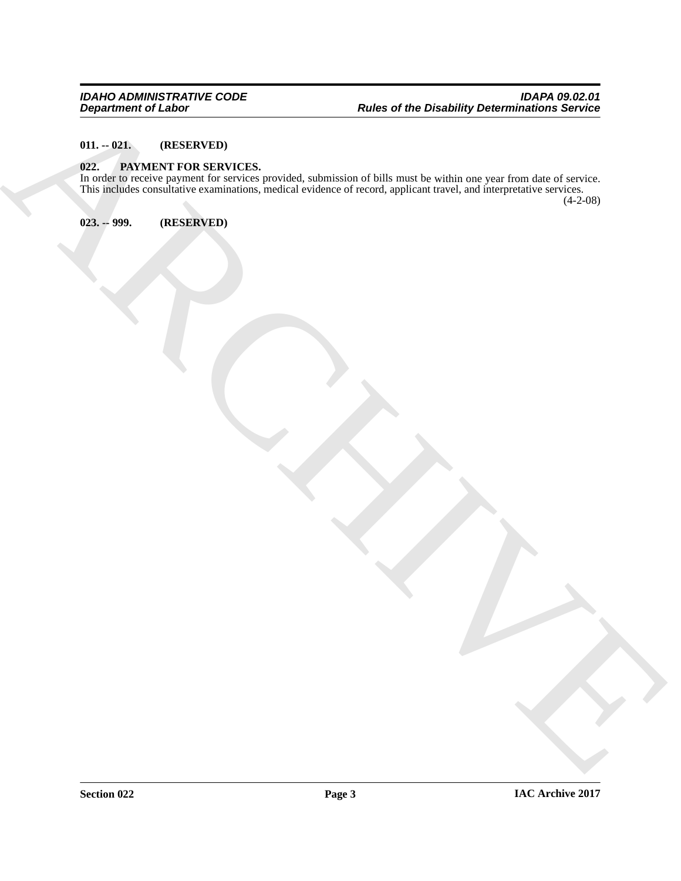#### <span id="page-2-0"></span>**011. -- 021. (RESERVED)**

#### <span id="page-2-3"></span><span id="page-2-1"></span>**022. PAYMENT FOR SERVICES.**

Beginning of Links<br>
OLL - COLL THE CONSULTING EXCHANGES (SUITE CONSULTANT CONSULTANT)<br>
COLL THE CONSULTING EXCHANGES (SUITE CONSULTANT CONSULTANT)<br>
COLL THE CONSULTING EXCHANGES (SUITE CONSULTANT CONSULTANT CONSULTANT CONS In order to receive payment for services provided, submission of bills must be within one year from date of service. This includes consultative examinations, medical evidence of record, applicant travel, and interpretative services. (4-2-08)

<span id="page-2-2"></span>**023. -- 999. (RESERVED)**